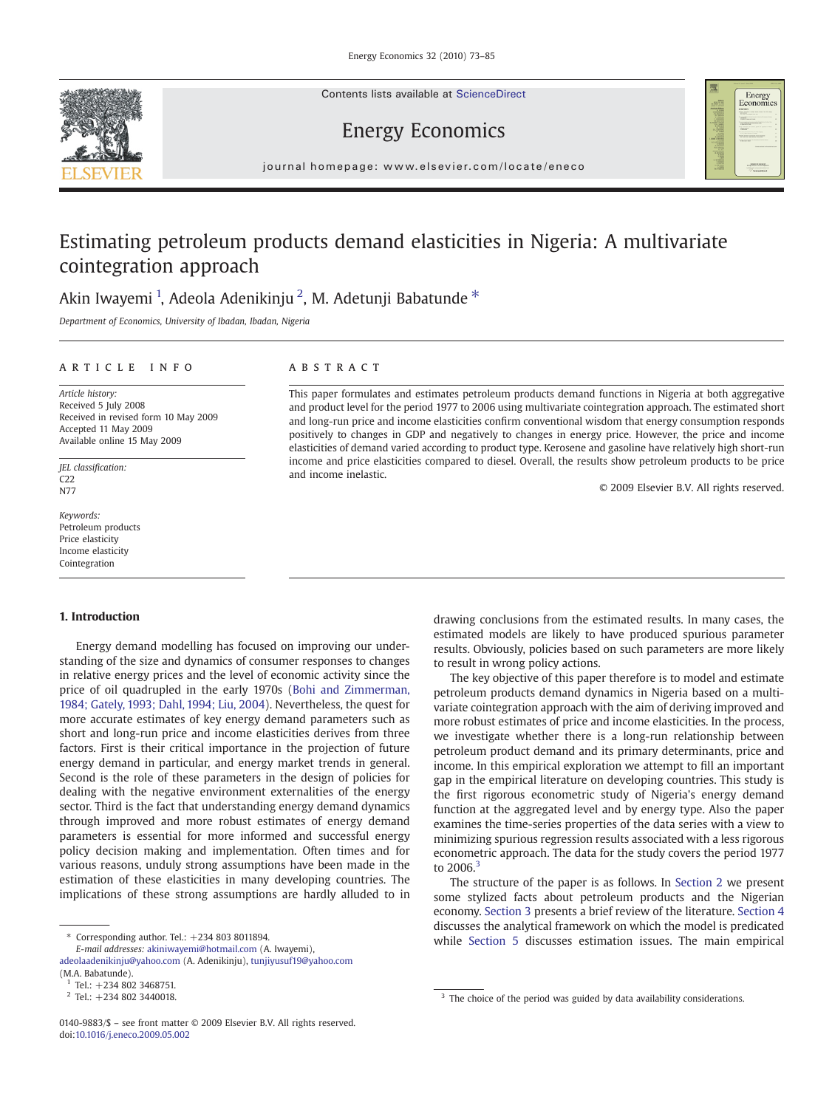Contents lists available at ScienceDirect



# Energy Economics

journal homepage: www.elsevier.com/locate/eneco

# Estimating petroleum products demand elasticities in Nigeria: A multivariate cointegration approach

## Akin Iwayemi <sup>1</sup>, Adeola Adenikinju <sup>2</sup>, M. Adetunji Babatunde \*

Department of Economics, University of Ibadan, Ibadan, Nigeria

## article info abstract

Article history: Received 5 July 2008 Received in revised form 10 May 2009 Accepted 11 May 2009 Available online 15 May 2009

JEL classification:  $C22$ N77

Keywords: Petroleum products Price elasticity Income elasticity Cointegration

#### 1. Introduction

Energy demand modelling has focused on improving our understanding of the size and dynamics of consumer responses to changes in relative energy prices and the level of economic activity since the price of oil quadrupled in the early 1970s ([Bohi and Zimmerman,](#page--1-0) [1984; Gately, 1993; Dahl, 1994; Liu, 2004\)](#page--1-0). Nevertheless, the quest for more accurate estimates of key energy demand parameters such as short and long-run price and income elasticities derives from three factors. First is their critical importance in the projection of future energy demand in particular, and energy market trends in general. Second is the role of these parameters in the design of policies for dealing with the negative environment externalities of the energy sector. Third is the fact that understanding energy demand dynamics through improved and more robust estimates of energy demand parameters is essential for more informed and successful energy policy decision making and implementation. Often times and for various reasons, unduly strong assumptions have been made in the estimation of these elasticities in many developing countries. The implications of these strong assumptions are hardly alluded to in

⁎ Corresponding author. Tel.: +234 803 8011894.

[adeolaadenikinju@yahoo.com](mailto:adeolaadenikinju@yahoo.com) (A. Adenikinju), [tunjiyusuf19@yahoo.com](mailto:tunjiyusuf19@yahoo.com) (M.A. Babatunde).

This paper formulates and estimates petroleum products demand functions in Nigeria at both aggregative and product level for the period 1977 to 2006 using multivariate cointegration approach. The estimated short and long-run price and income elasticities confirm conventional wisdom that energy consumption responds positively to changes in GDP and negatively to changes in energy price. However, the price and income elasticities of demand varied according to product type. Kerosene and gasoline have relatively high short-run income and price elasticities compared to diesel. Overall, the results show petroleum products to be price and income inelastic.

© 2009 Elsevier B.V. All rights reserved.

drawing conclusions from the estimated results. In many cases, the estimated models are likely to have produced spurious parameter results. Obviously, policies based on such parameters are more likely to result in wrong policy actions.

The key objective of this paper therefore is to model and estimate petroleum products demand dynamics in Nigeria based on a multivariate cointegration approach with the aim of deriving improved and more robust estimates of price and income elasticities. In the process, we investigate whether there is a long-run relationship between petroleum product demand and its primary determinants, price and income. In this empirical exploration we attempt to fill an important gap in the empirical literature on developing countries. This study is the first rigorous econometric study of Nigeria's energy demand function at the aggregated level and by energy type. Also the paper examines the time-series properties of the data series with a view to minimizing spurious regression results associated with a less rigorous econometric approach. The data for the study covers the period 1977 to 2006.<sup>3</sup>

The structure of the paper is as follows. In [Section 2](#page-1-0) we present some stylized facts about petroleum products and the Nigerian economy. [Section 3](#page-1-0) presents a brief review of the literature. [Section 4](#page--1-0) discusses the analytical framework on which the model is predicated while [Section 5](#page--1-0) discusses estimation issues. The main empirical

E-mail addresses: [akiniwayemi@hotmail.com](mailto:akiniwayemi@hotmail.com) (A. Iwayemi),

 $^{1}$  Tel.: +234 802 3468751.<br> $^{2}$  Tel.: +234 802 3440018.

<sup>0140-9883/\$</sup> – see front matter © 2009 Elsevier B.V. All rights reserved. doi:[10.1016/j.eneco.2009.05.002](http://dx.doi.org/10.1016/j.eneco.2009.05.002)

 $3$  The choice of the period was guided by data availability considerations.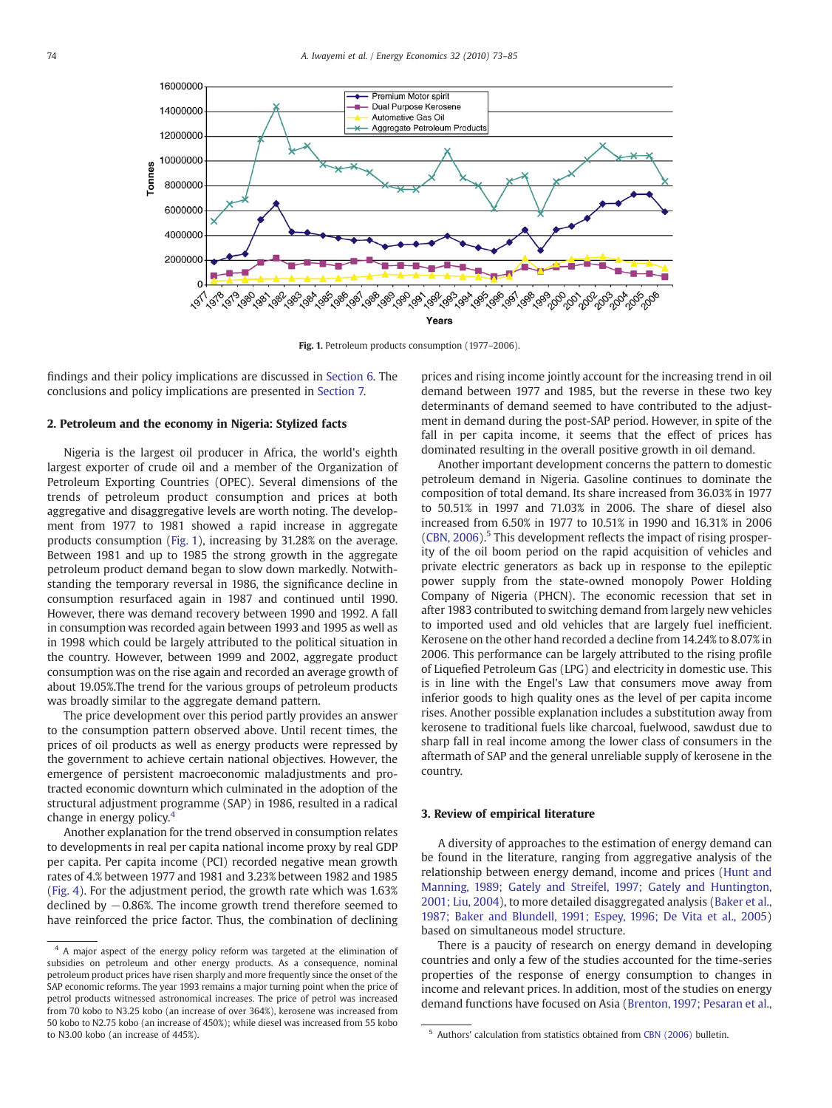<span id="page-1-0"></span>

Fig. 1. Petroleum products consumption (1977-2006).

findings and their policy implications are discussed in [Section 6](#page--1-0). The conclusions and policy implications are presented in [Section 7.](#page--1-0)

### 2. Petroleum and the economy in Nigeria: Stylized facts

Nigeria is the largest oil producer in Africa, the world's eighth largest exporter of crude oil and a member of the Organization of Petroleum Exporting Countries (OPEC). Several dimensions of the trends of petroleum product consumption and prices at both aggregative and disaggregative levels are worth noting. The development from 1977 to 1981 showed a rapid increase in aggregate products consumption (Fig. 1), increasing by 31.28% on the average. Between 1981 and up to 1985 the strong growth in the aggregate petroleum product demand began to slow down markedly. Notwithstanding the temporary reversal in 1986, the significance decline in consumption resurfaced again in 1987 and continued until 1990. However, there was demand recovery between 1990 and 1992. A fall in consumption was recorded again between 1993 and 1995 as well as in 1998 which could be largely attributed to the political situation in the country. However, between 1999 and 2002, aggregate product consumption was on the rise again and recorded an average growth of about 19.05%.The trend for the various groups of petroleum products was broadly similar to the aggregate demand pattern.

The price development over this period partly provides an answer to the consumption pattern observed above. Until recent times, the prices of oil products as well as energy products were repressed by the government to achieve certain national objectives. However, the emergence of persistent macroeconomic maladjustments and protracted economic downturn which culminated in the adoption of the structural adjustment programme (SAP) in 1986, resulted in a radical change in energy policy.<sup>4</sup>

Another explanation for the trend observed in consumption relates to developments in real per capita national income proxy by real GDP per capita. Per capita income (PCI) recorded negative mean growth rates of 4.% between 1977 and 1981 and 3.23% between 1982 and 1985 [\(Fig. 4\)](#page--1-0). For the adjustment period, the growth rate which was 1.63% declined by −0.86%. The income growth trend therefore seemed to have reinforced the price factor. Thus, the combination of declining prices and rising income jointly account for the increasing trend in oil demand between 1977 and 1985, but the reverse in these two key determinants of demand seemed to have contributed to the adjustment in demand during the post-SAP period. However, in spite of the fall in per capita income, it seems that the effect of prices has dominated resulting in the overall positive growth in oil demand.

Another important development concerns the pattern to domestic petroleum demand in Nigeria. Gasoline continues to dominate the composition of total demand. Its share increased from 36.03% in 1977 to 50.51% in 1997 and 71.03% in 2006. The share of diesel also increased from 6.50% in 1977 to 10.51% in 1990 and 16.31% in 2006  $(CBN, 2006)$ <sup>5</sup>. This development reflects the impact of rising prosperity of the oil boom period on the rapid acquisition of vehicles and private electric generators as back up in response to the epileptic power supply from the state-owned monopoly Power Holding Company of Nigeria (PHCN). The economic recession that set in after 1983 contributed to switching demand from largely new vehicles to imported used and old vehicles that are largely fuel inefficient. Kerosene on the other hand recorded a decline from 14.24% to 8.07% in 2006. This performance can be largely attributed to the rising profile of Liquefied Petroleum Gas (LPG) and electricity in domestic use. This is in line with the Engel's Law that consumers move away from inferior goods to high quality ones as the level of per capita income rises. Another possible explanation includes a substitution away from kerosene to traditional fuels like charcoal, fuelwood, sawdust due to sharp fall in real income among the lower class of consumers in the aftermath of SAP and the general unreliable supply of kerosene in the country.

#### 3. Review of empirical literature

A diversity of approaches to the estimation of energy demand can be found in the literature, ranging from aggregative analysis of the relationship between energy demand, income and prices [\(Hunt and](#page--1-0) [Manning, 1989; Gately and Streifel, 1997; Gately and Huntington,](#page--1-0) [2001; Liu, 2004\)](#page--1-0), to more detailed disaggregated analysis ([Baker et al.,](#page--1-0) [1987; Baker and Blundell, 1991; Espey, 1996; De Vita et al., 2005](#page--1-0)) based on simultaneous model structure.

There is a paucity of research on energy demand in developing countries and only a few of the studies accounted for the time-series properties of the response of energy consumption to changes in income and relevant prices. In addition, most of the studies on energy demand functions have focused on Asia [\(Brenton, 1997; Pesaran et al.,](#page--1-0)

<sup>4</sup> A major aspect of the energy policy reform was targeted at the elimination of subsidies on petroleum and other energy products. As a consequence, nominal petroleum product prices have risen sharply and more frequently since the onset of the SAP economic reforms. The year 1993 remains a major turning point when the price of petrol products witnessed astronomical increases. The price of petrol was increased from 70 kobo to N3.25 kobo (an increase of over 364%), kerosene was increased from 50 kobo to N2.75 kobo (an increase of 450%); while diesel was increased from 55 kobo to N3.00 kobo (an increase of 445%). The state of the state of the state of the state of 445%).